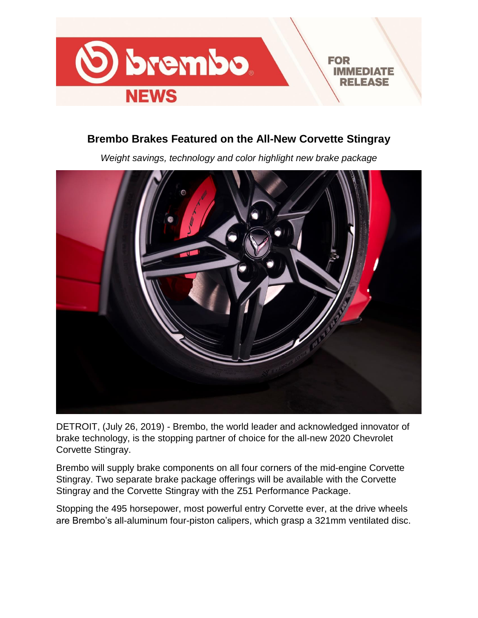

# **Brembo Brakes Featured on the All-New Corvette Stingray**

*Weight savings, technology and color highlight new brake package*



DETROIT, (July 26, 2019) - Brembo, the world leader and acknowledged innovator of brake technology, is the stopping partner of choice for the all-new 2020 Chevrolet Corvette Stingray.

Brembo will supply brake components on all four corners of the mid-engine Corvette Stingray. Two separate brake package offerings will be available with the Corvette Stingray and the Corvette Stingray with the Z51 Performance Package.

Stopping the 495 horsepower, most powerful entry Corvette ever, at the drive wheels are Brembo's all-aluminum four-piston calipers, which grasp a 321mm ventilated disc.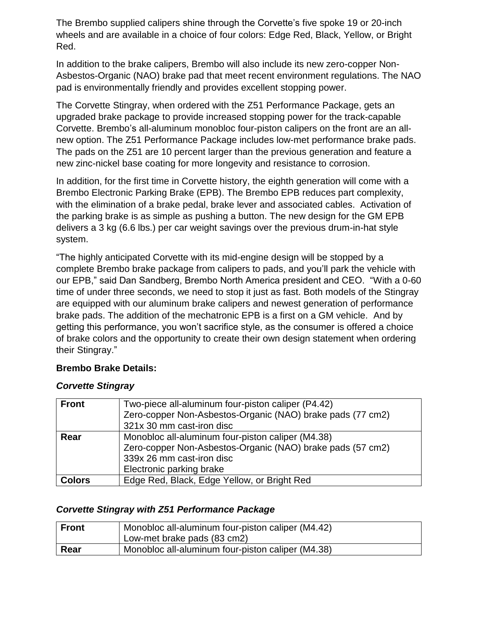The Brembo supplied calipers shine through the Corvette's five spoke 19 or 20-inch wheels and are available in a choice of four colors: Edge Red, Black, Yellow, or Bright Red.

In addition to the brake calipers, Brembo will also include its new zero-copper Non-Asbestos-Organic (NAO) brake pad that meet recent environment regulations. The NAO pad is environmentally friendly and provides excellent stopping power.

The Corvette Stingray, when ordered with the Z51 Performance Package, gets an upgraded brake package to provide increased stopping power for the track-capable Corvette. Brembo's all-aluminum monobloc four-piston calipers on the front are an allnew option. The Z51 Performance Package includes low-met performance brake pads. The pads on the Z51 are 10 percent larger than the previous generation and feature a new zinc-nickel base coating for more longevity and resistance to corrosion.

In addition, for the first time in Corvette history, the eighth generation will come with a Brembo Electronic Parking Brake (EPB). The Brembo EPB reduces part complexity, with the elimination of a brake pedal, brake lever and associated cables. Activation of the parking brake is as simple as pushing a button. The new design for the GM EPB delivers a 3 kg (6.6 lbs.) per car weight savings over the previous drum-in-hat style system.

"The highly anticipated Corvette with its mid-engine design will be stopped by a complete Brembo brake package from calipers to pads, and you'll park the vehicle with our EPB," said Dan Sandberg, Brembo North America president and CEO. "With a 0-60 time of under three seconds, we need to stop it just as fast. Both models of the Stingray are equipped with our aluminum brake calipers and newest generation of performance brake pads. The addition of the mechatronic EPB is a first on a GM vehicle. And by getting this performance, you won't sacrifice style, as the consumer is offered a choice of brake colors and the opportunity to create their own design statement when ordering their Stingray."

## **Brembo Brake Details:**

## *Corvette Stingray*

| <b>Front</b>                                              | Two-piece all-aluminum four-piston caliper (P4.42)<br>Zero-copper Non-Asbestos-Organic (NAO) brake pads (77 cm2) |  |  |
|-----------------------------------------------------------|------------------------------------------------------------------------------------------------------------------|--|--|
|                                                           |                                                                                                                  |  |  |
|                                                           | 321x 30 mm cast-iron disc                                                                                        |  |  |
| Monobloc all-aluminum four-piston caliper (M4.38)<br>Rear |                                                                                                                  |  |  |
|                                                           | Zero-copper Non-Asbestos-Organic (NAO) brake pads (57 cm2)                                                       |  |  |
|                                                           | 339x 26 mm cast-iron disc                                                                                        |  |  |
|                                                           | Electronic parking brake                                                                                         |  |  |
| <b>Colors</b>                                             | Edge Red, Black, Edge Yellow, or Bright Red                                                                      |  |  |

## *Corvette Stingray with Z51 Performance Package*

| <b>Front</b> | Monobloc all-aluminum four-piston caliper (M4.42)<br>Low-met brake pads (83 cm2) |
|--------------|----------------------------------------------------------------------------------|
| Rear         | Monobloc all-aluminum four-piston caliper (M4.38)                                |